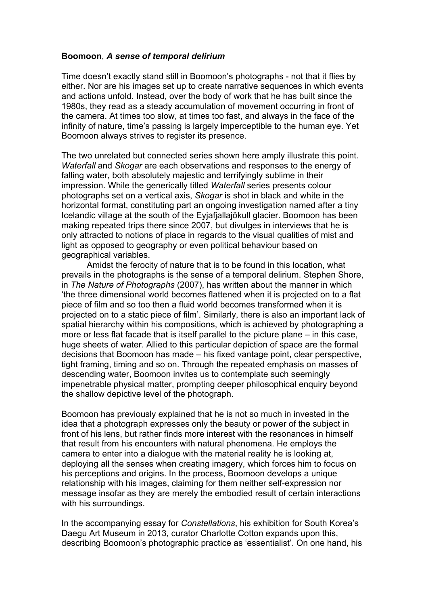## **Boomoon**, *A sense of temporal delirium*

Time doesn't exactly stand still in Boomoon's photographs - not that it flies by either. Nor are his images set up to create narrative sequences in which events and actions unfold. Instead, over the body of work that he has built since the 1980s, they read as a steady accumulation of movement occurring in front of the camera. At times too slow, at times too fast, and always in the face of the infinity of nature, time's passing is largely imperceptible to the human eye. Yet Boomoon always strives to register its presence.

The two unrelated but connected series shown here amply illustrate this point. *Waterfall* and *Skogar* are each observations and responses to the energy of falling water, both absolutely majestic and terrifyingly sublime in their impression. While the generically titled *Waterfall* series presents colour photographs set on a vertical axis, *Skogar* is shot in black and white in the horizontal format, constituting part an ongoing investigation named after a tiny Icelandic village at the south of the Eyjafjallajökull glacier. Boomoon has been making repeated trips there since 2007, but divulges in interviews that he is only attracted to notions of place in regards to the visual qualities of mist and light as opposed to geography or even political behaviour based on geographical variables.

Amidst the ferocity of nature that is to be found in this location, what prevails in the photographs is the sense of a temporal delirium. Stephen Shore, in *The Nature of Photographs* (2007), has written about the manner in which 'the three dimensional world becomes flattened when it is projected on to a flat piece of film and so too then a fluid world becomes transformed when it is projected on to a static piece of film'. Similarly, there is also an important lack of spatial hierarchy within his compositions, which is achieved by photographing a more or less flat facade that is itself parallel to the picture plane – in this case, huge sheets of water. Allied to this particular depiction of space are the formal decisions that Boomoon has made – his fixed vantage point, clear perspective, tight framing, timing and so on. Through the repeated emphasis on masses of descending water, Boomoon invites us to contemplate such seemingly impenetrable physical matter, prompting deeper philosophical enquiry beyond the shallow depictive level of the photograph.

Boomoon has previously explained that he is not so much in invested in the idea that a photograph expresses only the beauty or power of the subject in front of his lens, but rather finds more interest with the resonances in himself that result from his encounters with natural phenomena. He employs the camera to enter into a dialogue with the material reality he is looking at, deploying all the senses when creating imagery, which forces him to focus on his perceptions and origins. In the process, Boomoon develops a unique relationship with his images, claiming for them neither self-expression nor message insofar as they are merely the embodied result of certain interactions with his surroundings.

In the accompanying essay for *Constellations*, his exhibition for South Korea's Daegu Art Museum in 2013, curator Charlotte Cotton expands upon this, describing Boomoon's photographic practice as 'essentialist'. On one hand, his